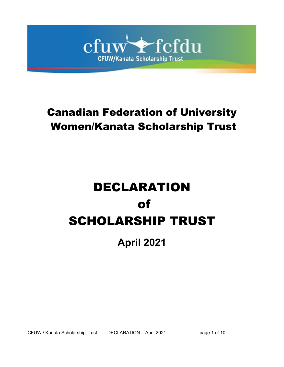

# Canadian Federation of University Women/Kanata Scholarship Trust

# DECLARATION of SCHOLARSHIP TRUST

**April 2021**

CFUW / Kanata Scholarship Trust DECLARATION April 2021 page 1 of 10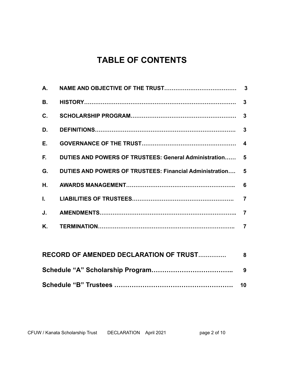# **TABLE OF CONTENTS**

| В. |                                                            |  |
|----|------------------------------------------------------------|--|
| C. |                                                            |  |
| D. |                                                            |  |
| Е. |                                                            |  |
|    | F. DUTIES AND POWERS OF TRUSTEES: General Administration 5 |  |
| G. | DUTIES AND POWERS OF TRUSTEES: Financial Administration 5  |  |
| Н. |                                                            |  |
|    |                                                            |  |
| J. |                                                            |  |
| Κ. |                                                            |  |
|    |                                                            |  |

| RECORD OF AMENDED DECLARATION OF TRUST | - 8 |
|----------------------------------------|-----|
|                                        |     |
|                                        |     |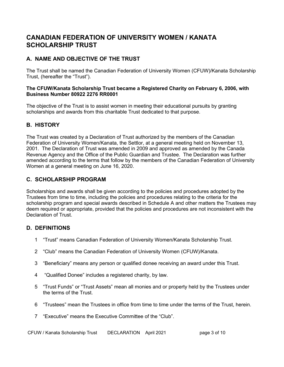### **CANADIAN FEDERATION OF UNIVERSITY WOMEN / KANATA SCHOLARSHIP TRUST**

#### **A. NAME AND OBJECTIVE OF THE TRUST**

The Trust shall be named the Canadian Federation of University Women (CFUW)/Kanata Scholarship Trust, (hereafter the "Trust").

#### **The CFUW/Kanata Scholarship Trust became a Registered Charity on February 6, 2006, with Business Number 80922 2276 RR0001**

The objective of the Trust is to assist women in meeting their educational pursuits by granting scholarships and awards from this charitable Trust dedicated to that purpose.

#### **B. HISTORY**

The Trust was created by a Declaration of Trust authorized by the members of the Canadian Federation of University Women/Kanata, the Settlor, at a general meeting held on November 13, 2001. The Declaration of Trust was amended in 2009 and approved as amended by the Canada Revenue Agency and the Office of the Public Guardian and Trustee. The Declaration was further amended according to the terms that follow by the members of the Canadian Federation of University Women at a general meeting on June 16, 2020.

#### **C. SCHOLARSHIP PROGRAM**

Scholarships and awards shall be given according to the policies and procedures adopted by the Trustees from time to time, including the policies and procedures relating to the criteria for the scholarship program and special awards described in Schedule A and other matters the Trustees may deem required or appropriate, provided that the policies and procedures are not inconsistent with the Declaration of Trust.

#### **D. DEFINITIONS**

- 1 "Trust" means Canadian Federation of University Women/Kanata Scholarship Trust.
- 2 "Club" means the Canadian Federation of University Women (CFUW)/Kanata.
- 3 "Beneficiary" means any person or qualified donee receiving an award under this Trust.
- 4 "Qualified Donee" includes a registered charity, by law.
- 5 "Trust Funds" or "Trust Assets" mean all monies and or property held by the Trustees under the terms of the Trust.
- 6 "Trustees" mean the Trustees in office from time to time under the terms of the Trust, herein.
- 7 "Executive" means the Executive Committee of the "Club".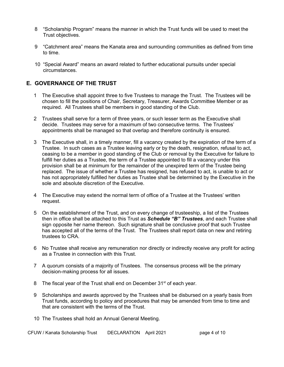- 8 "Scholarship Program" means the manner in which the Trust funds will be used to meet the Trust objectives.
- 9 "Catchment area" means the Kanata area and surrounding communities as defined from time to time.
- 10 "Special Award" means an award related to further educational pursuits under special circumstances.

#### **E. GOVERNANCE OF THE TRUST**

- 1 The Executive shall appoint three to five Trustees to manage the Trust. The Trustees will be chosen to fill the positions of Chair, Secretary, Treasurer, Awards Committee Member or as required. All Trustees shall be members in good standing of the Club.
- 2 Trustees shall serve for a term of three years, or such lesser term as the Executive shall decide. Trustees may serve for a maximum of two consecutive terms. The Trustees' appointments shall be managed so that overlap and therefore continuity is ensured.
- 3 The Executive shall, in a timely manner, fill a vacancy created by the expiration of the term of a Trustee. In such cases as a Trustee leaving early or by the death, resignation, refusal to act, ceasing to be a member in good standing of the Club or removal by the Executive for failure to fulfill her duties as a Trustee, the term of a Trustee appointed to fill a vacancy under this provision shall be at minimum for the remainder of the unexpired term of the Trustee being replaced. The issue of whether a Trustee has resigned, has refused to act, is unable to act or has not appropriately fulfilled her duties as Trustee shall be determined by the Executive in the sole and absolute discretion of the Executive.
- 4 The Executive may extend the normal term of office of a Trustee at the Trustees' written request.
- 5 On the establishment of the Trust, and on every change of trusteeship, a list of the Trustees then in office shall be attached to this Trust as *Schedule "B" Trustees*, and each Trustee shall sign opposite her name thereon. Such signature shall be conclusive proof that such Trustee has accepted all of the terms of the Trust. The Trustees shall report data on new and retiring trustees to CRA.
- 6 No Trustee shall receive any remuneration nor directly or indirectly receive any profit for acting as a Trustee in connection with this Trust.
- 7 A quorum consists of a majority of Trustees. The consensus process will be the primary decision-making process for all issues.
- 8 The fiscal year of the Trust shall end on December 31<sup>st</sup> of each year.
- 9 Scholarships and awards approved by the Trustees shall be disbursed on a yearly basis from Trust funds, according to policy and procedures that may be amended from time to time and that are consistent with the terms of the Trust.
- 10 The Trustees shall hold an Annual General Meeting.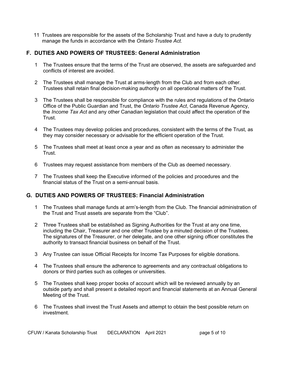11 Trustees are responsible for the assets of the Scholarship Trust and have a duty to prudently manage the funds in accordance with the *Ontario Trustee Act.* 

#### **F. DUTIES AND POWERS OF TRUSTEES: General Administration**

- 1 The Trustees ensure that the terms of the Trust are observed, the assets are safeguarded and conflicts of interest are avoided.
- 2 The Trustees shall manage the Trust at arms-length from the Club and from each other. Trustees shall retain final decision-making authority on all operational matters of the Trust.
- 3 The Trustees shall be responsible for compliance with the rules and regulations of the Ontario Office of the Public Guardian and Trust, the *Ontario Trustee Act*, Canada Revenue Agency, the *Income Tax Act* and any other Canadian legislation that could affect the operation of the Trust.
- 4 The Trustees may develop policies and procedures, consistent with the terms of the Trust, as they may consider necessary or advisable for the efficient operation of the Trust.
- 5 The Trustees shall meet at least once a year and as often as necessary to administer the Trust.
- 6 Trustees may request assistance from members of the Club as deemed necessary.
- 7 The Trustees shall keep the Executive informed of the policies and procedures and the financial status of the Trust on a semi-annual basis.

#### **G. DUTIES AND POWERS OF TRUSTEES: Financial Administration**

- 1 The Trustees shall manage funds at arm's-length from the Club. The financial administration of the Trust and Trust assets are separate from the "Club".
- 2 Three Trustees shall be established as Signing Authorities for the Trust at any one time, including the Chair, Treasurer and one other Trustee by a minuted decision of the Trustees. The signatures of the Treasurer, or her delegate, and one other signing officer constitutes the authority to transact financial business on behalf of the Trust.
- 3 Any Trustee can issue Official Receipts for Income Tax Purposes for eligible donations.
- 4 The Trustees shall ensure the adherence to agreements and any contractual obligations to donors or third parties such as colleges or universities.
- 5 The Trustees shall keep proper books of account which will be reviewed annually by an outside party and shall present a detailed report and financial statements at an Annual General Meeting of the Trust.
- 6 The Trustees shall invest the Trust Assets and attempt to obtain the best possible return on investment.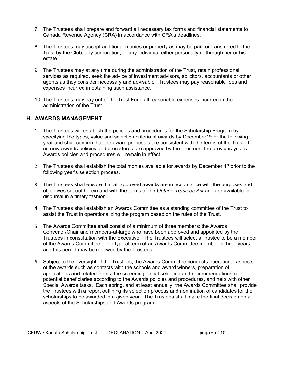- 7 The Trustees shall prepare and forward all necessary tax forms and financial statements to Canada Revenue Agency (CRA) in accordance with CRA's deadlines.
- 8 The Trustees may accept additional monies or property as may be paid or transferred to the Trust by the Club, any corporation, or any individual either personally or through her or his estate.
- 9 The Trustees may at any time during the administration of the Trust, retain professional services as required, seek the advice of investment advisors, solicitors, accountants or other agents as they consider necessary and advisable. Trustees may pay reasonable fees and expenses incurred in obtaining such assistance.
- 10 The Trustees may pay out of the Trust Fund all reasonable expenses incurred in the administration of the Trust.

#### **H. AWARDS MANAGEMENT**

- 1 The Trustees will establish the policies and procedures for the Scholarship Program by specifying the types, value and selection criteria of awards by December1<sup>st</sup> for the following year and shall confirm that the award proposals are consistent with the terms of the Trust. If no new Awards policies and procedures are approved by the Trustees, the previous year's Awards policies and procedures will remain in effect.
- 2 The Trustees shall establish the total monies available for awards by December  $1<sup>st</sup>$  prior to the following year's selection process.
- 3 The Trustees shall ensure that all approved awards are in accordance with the purposes and objectives set out herein and with the terms of the *Ontario Trustees Act* and are available for disbursal in a timely fashion.
- 4 The Trustees shall establish an Awards Committee as a standing committee of the Trust to assist the Trust in operationalizing the program based on the rules of the Trust.
- 5 The Awards Committee shall consist of a minimum of three members: the Awards Convenor/Chair and members-at-large who have been approved and appointed by the Trustees in consultation with the Executive. The Trustees will select a Trustee to be a member of the Awards Committee. The typical term of an Awards Committee member is three years and this period may be renewed by the Trustees.
- 6 Subject to the oversight of the Trustees, the Awards Committee conducts operational aspects of the awards such as contacts with the schools and award winners, preparation of applications and related forms, the screening, initial selection and recommendations of potential beneficiaries according to the Awards policies and procedures, and help with other Special Awards tasks. Each spring, and at least annually, the Awards Committee shall provide the Trustees with a report outlining its selection process and nomination of candidates for the scholarships to be awarded in a given year. The Trustees shall make the final decision on all aspects of the Scholarships and Awards program.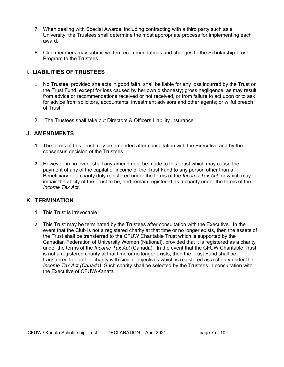- 7 When dealing with Special Awards, including contracting with a third party such as a University, the Trustees shall determine the most appropriate process for implementing each award.
- 8 Club members may submit written recommendations and changes to the Scholarship Trust Program to the Trustees.

#### **I. LIABILITIES OF TRUSTEES**

- 1 No Trustee, provided she acts in good faith, shall be liable for any loss incurred by the Trust or the Trust Fund, except for loss caused by her own dishonesty; gross negligence, as may result from advice or recommendations received or not received, or from failure to act upon or to ask for advice from solicitors, accountants, investment advisors and other agents; or wilful breach of Trust.
- 2 The Trustees shall take out Directors & Officers Liability Insurance.

#### **J. AMENDMENTS**

- 1 The terms of this Trust may be amended after consultation with the Executive and by the consensus decision of the Trustees.
- 2 However, in no event shall any amendment be made to this Trust which may cause the payment of any of the capital or income of the Trust Fund to any person other than a Beneficiary or a charity duly registered under the terms of the *Income Tax Act*, or which may impair the ability of the Trust to be, and remain registered as a charity under the terms of the *Income Tax Act*.

#### **K. TERMINATION**

- 1 This Trust is irrevocable.
- 2 This Trust may be terminated by the Trustees after consultation with the Executive. In the event that the Club is not a registered charity at that time or no longer exists, then the assets of the Trust shall be transferred to the CFUW Charitable Trust which is supported by the Canadian Federation of University Women (National), provided that it is registered as a charity under the terms of the *Income Tax Act* (Canada). In the event that the CFUW Charitable Trust is not a registered charity at that time or no longer exists, then the Trust Fund shall be transferred to another charity with similar objectives which is registered as a charity under the *Income Tax Act (Canada).* Such charity shall be selected by the Trustees in consultation with the Executive of CFUW/Kanata.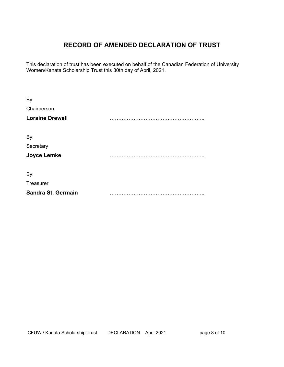# **RECORD OF AMENDED DECLARATION OF TRUST**

This declaration of trust has been executed on behalf of the Canadian Federation of University Women/Kanata Scholarship Trust this 30th day of April, 2021.

| By:<br>Chairperson     |  |
|------------------------|--|
| <b>Loraine Drewell</b> |  |
| By:                    |  |
| Secretary              |  |
| <b>Joyce Lemke</b>     |  |
| By:                    |  |
| <b>Treasurer</b>       |  |
| Sandra St. Germain     |  |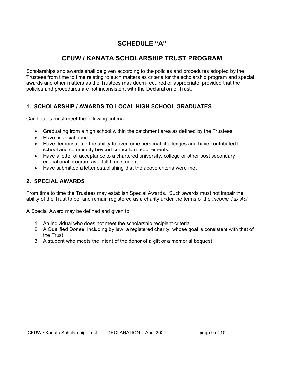# **SCHEDULE "A"**

# **CFUW / KANATA SCHOLARSHIP TRUST PROGRAM**

Scholarships and awards shall be given according to the policies and procedures adopted by the Trustees from time to time relating to such matters as criteria for the scholarship program and special awards and other matters as the Trustees may deem required or appropriate, provided that the policies and procedures are not inconsistent with the Declaration of Trust.

#### **1. SCHOLARSHIP / AWARDS TO LOCAL HIGH SCHOOL GRADUATES**

Candidates must meet the following criteria:

- · Graduating from a high school within the catchment area as defined by the Trustees
- · Have financial need
- · Have demonstrated the ability to overcome personal challenges and have contributed to school and community beyond curriculum requirements.
- · Have a letter of acceptance to a chartered university, college or other post secondary educational program as a full time student
- · Have submitted a letter establishing that the above criteria were met

#### **2. SPECIAL AWARDS**

From time to time the Trustees may establish Special Awards. Such awards must not impair the ability of the Trust to be, and remain registered as a charity under the terms of the *Income Tax Act.*

A Special Award may be defined and given to:

- 1 An individual who does not meet the scholarship recipient criteria
- 2 A Qualified Donee, including by law, a registered charity, whose goal is consistent with that of the Trust
- 3 A student who meets the intent of the donor of a gift or a memorial bequest